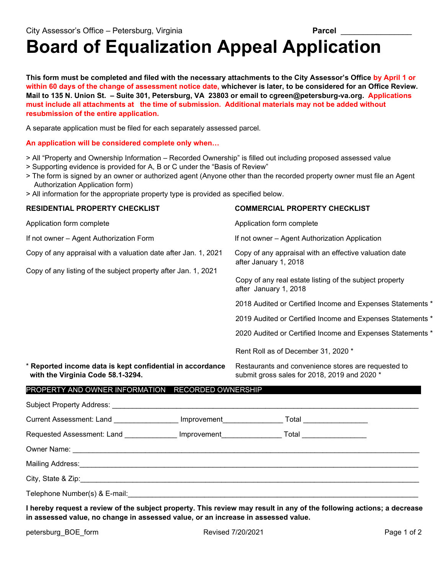## **Board of Equalization Appeal Application**

**This form must be completed and filed with the necessary attachments to the City Assessor's Office by April 1 or within 60 days of the change of assessment notice date, whichever is later, to be considered for an Office Review. Mail to 135 N. Union St. – Suite 301, Petersburg, VA 23803 or email to cgreen@petersburg-va.org. Applications must include all attachments at the time of submission. Additional materials may not be added without resubmission of the entire application.**

A separate application must be filed for each separately assessed parcel.

**An application will be considered complete only when…** 

- > All "Property and Ownership Information Recorded Ownership" is filled out including proposed assessed value
- > Supporting evidence is provided for A, B or C under the "Basis of Review"
- > The form is signed by an owner or authorized agent (Anyone other than the recorded property owner must file an Agent Authorization Application form)
- > All information for the appropriate property type is provided as specified below.

| <b>RESIDENTIAL PROPERTY CHECKLIST</b>                                                                                                                                       |  | <b>COMMERCIAL PROPERTY CHECKLIST</b>                                                                                              |  |
|-----------------------------------------------------------------------------------------------------------------------------------------------------------------------------|--|-----------------------------------------------------------------------------------------------------------------------------------|--|
| Application form complete                                                                                                                                                   |  | Application form complete                                                                                                         |  |
| If not owner - Agent Authorization Form<br>Copy of any appraisal with a valuation date after Jan. 1, 2021<br>Copy of any listing of the subject property after Jan. 1, 2021 |  | If not owner - Agent Authorization Application<br>Copy of any appraisal with an effective valuation date<br>after January 1, 2018 |  |
|                                                                                                                                                                             |  |                                                                                                                                   |  |
|                                                                                                                                                                             |  |                                                                                                                                   |  |
|                                                                                                                                                                             |  | 2019 Audited or Certified Income and Expenses Statements *                                                                        |  |
|                                                                                                                                                                             |  | 2020 Audited or Certified Income and Expenses Statements *                                                                        |  |
|                                                                                                                                                                             |  | Rent Roll as of December 31, 2020 *                                                                                               |  |
| * Reported income data is kept confidential in accordance<br>with the Virginia Code 58.1-3294.                                                                              |  | Restaurants and convenience stores are requested to<br>submit gross sales for 2018, 2019 and 2020 *                               |  |
| PROPERTY AND OWNER INFORMATION RECORDED OWNERSHIP                                                                                                                           |  |                                                                                                                                   |  |
|                                                                                                                                                                             |  |                                                                                                                                   |  |
|                                                                                                                                                                             |  | Current Assessment: Land ________________ Improvement__________________ Total _____________________                               |  |
|                                                                                                                                                                             |  | Requested Assessment: Land ______________ Improvement____________________Total ____________________                               |  |
|                                                                                                                                                                             |  |                                                                                                                                   |  |
|                                                                                                                                                                             |  |                                                                                                                                   |  |
|                                                                                                                                                                             |  |                                                                                                                                   |  |
| Telephone Number(s) & E-mail:                                                                                                                                               |  |                                                                                                                                   |  |

**I hereby request a review of the subject property. This review may result in any of the following actions; a decrease in assessed value, no change in assessed value, or an increase in assessed value.**